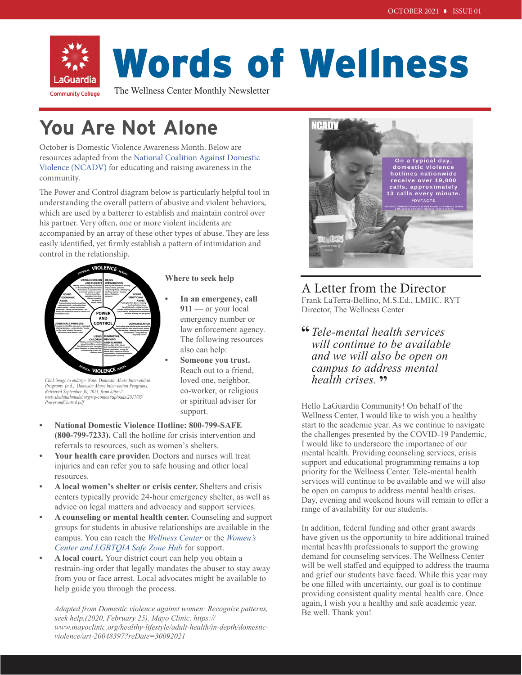

# Words of Wellness

The Wellness Center Monthly Newsletter

## **You Are Not Alone**

October is Domestic Violence Awareness Month. Below are resources adapted from the [National Coalition Against Domestic](https://ncadv.org/)  [Violence \(NCADV\)](https://ncadv.org/) for educating and raising awareness in the community.

The Power and Control diagram below is particularly helpful tool in understanding the overall pattern of abusive and violent behaviors, which are used by a batterer to establish and maintain control over his partner. Very often, one or more violent incidents are accompanied by an array of these other types of abuse. They are less easily identified, yet firmly establish a pattern of intimidation and control in the relationship.



*Retrieved September 30, 2021, from https:// www.theduluthmodel.org/wp-content/uploads/2017/03/*

*PowerandControl.pdf*

#### **Where to seek help**

- **• In an emergency, call 911** — or your local emergency number or law enforcement agency. The following resources also can help:
- **• Someone you trust.** Reach out to a friend, loved one, neighbor, co-worker, or religious or spiritual adviser for support.
- **National Domestic Violence Hotline: 800-799-SAFE (800-799-7233).** Call the hotline for crisis intervention and referrals to resources, such as women's shelters.
- **• Your health care provider.** Doctors and nurses will treat injuries and can refer you to safe housing and other local resources.
- **A local women's shelter or crisis center.** Shelters and crisis centers typically provide 24-hour emergency shelter, as well as advice on legal matters and advocacy and support services.
- **A counseling or mental health center.** Counseling and support groups for students in abusive relationships are available in the campus. You can reach the *[Wellness Center](https://www.laguardia.edu/wellnesscenter/)* or the *Wo[men's](https://www.laguardia.edu/safezonehub/#:~:text=The%20LGBTQIA%20Safe%20Zone%20Hub,gender%20and%20sexuality%20at%20LaGuardia.) [Center and LGBTQIA Safe Zone Hub](https://www.laguardia.edu/safezonehub/#:~:text=The%20LGBTQIA%20Safe%20Zone%20Hub,gender%20and%20sexuality%20at%20LaGuardia.)* for support.
- **A local court.** Your district court can help you obtain a restrain-ing order that legally mandates the abuser to stay away from you or face arrest. Local advocates might be available to help guide you through the process.

*Adapted from Domestic violence against women: Recognize patterns, seek help.(2020, February 25). Mayo Clinic. https:// www.mayoclinic.org/healthy-lifestyle/adult-health/in-depth/domesticviolence/art-20048397?reDate=30092021*



### A Letter from the Director Frank LaTerra-Bellino, M.S.Ed., LMHC. RYT Director, The Wellness Center

*Tele-mental health services*  **"** *will continue to be available and we will also be open on campus to address mental health crises.* **"**

Hello LaGuardia Community! On behalf of the Wellness Center, I would like to wish you a healthy start to the academic year. As we continue to navigate the challenges presented by the COVID-19 Pandemic, I would like to underscore the importance of our mental health. Providing counseling services, crisis support and educational programming remains a top priority for the Wellness Center. Tele-mental health services will continue to be available and we will also be open on campus to address mental health crises. Day, evening and weekend hours will remain to offer a range of availability for our students.

In addition, federal funding and other grant awards have given us the opportunity to hire additional trained mental heavlth professionals to support the growing demand for counseling services. The Wellness Center will be well staffed and equipped to address the trauma and grief our students have faced. While this year may be one filled with uncertainty, our goal is to continue providing consistent quality mental health care. Once again, I wish you a healthy and safe academic year. Be well. Thank you!